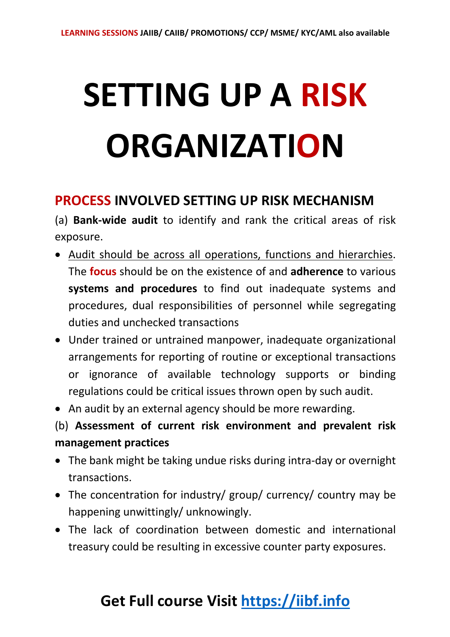# **SETTING UP A RISK ORGANIZATION**

#### **PROCESS INVOLVED SETTING UP RISK MECHANISM**

(a) **Bank-wide audit** to identify and rank the critical areas of risk exposure.

- Audit should be across all operations, functions and hierarchies. The **focus** should be on the existence of and **adherence** to various **systems and procedures** to find out inadequate systems and procedures, dual responsibilities of personnel while segregating duties and unchecked transactions
- Under trained or untrained manpower, inadequate organizational arrangements for reporting of routine or exceptional transactions or ignorance of available technology supports or binding regulations could be critical issues thrown open by such audit.
- An audit by an external agency should be more rewarding.

(b) **Assessment of current risk environment and prevalent risk management practices**

- The bank might be taking undue risks during intra-day or overnight transactions.
- The concentration for industry/ group/ currency/ country may be happening unwittingly/ unknowingly.
- The lack of coordination between domestic and international treasury could be resulting in excessive counter party exposures.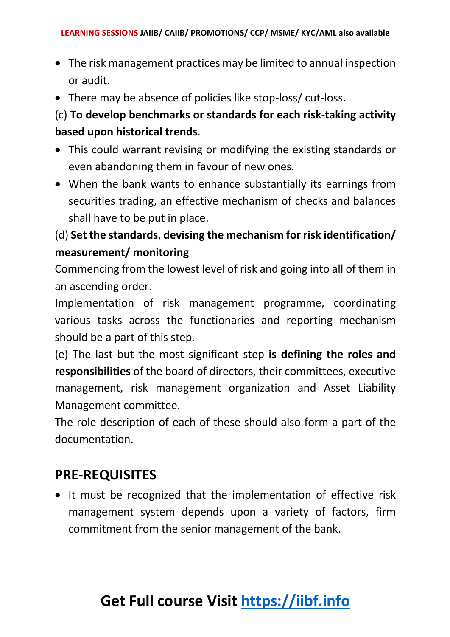- The risk management practices may be limited to annual inspection or audit.
- There may be absence of policies like stop-loss/ cut-loss.

#### (c) **To develop benchmarks or standards for each risk-taking activity based upon historical trends**.

- This could warrant revising or modifying the existing standards or even abandoning them in favour of new ones.
- When the bank wants to enhance substantially its earnings from securities trading, an effective mechanism of checks and balances shall have to be put in place.

#### (d) **Set the standards**, **devising the mechanism for risk identification/ measurement/ monitoring**

Commencing from the lowest level of risk and going into all of them in an ascending order.

Implementation of risk management programme, coordinating various tasks across the functionaries and reporting mechanism should be a part of this step.

(e) The last but the most significant step **is defining the roles and responsibilities** of the board of directors, their committees, executive management, risk management organization and Asset Liability Management committee.

The role description of each of these should also form a part of the documentation.

### **PRE-REQUISITES**

• It must be recognized that the implementation of effective risk management system depends upon a variety of factors, firm commitment from the senior management of the bank.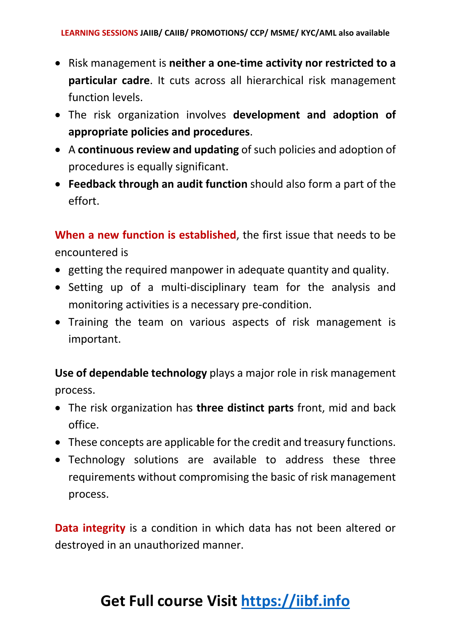- Risk management is **neither a one-time activity nor restricted to a particular cadre**. It cuts across all hierarchical risk management function levels.
- The risk organization involves **development and adoption of appropriate policies and procedures**.
- A **continuous review and updating** of such policies and adoption of procedures is equally significant.
- **Feedback through an audit function** should also form a part of the effort.

**When a new function is established**, the first issue that needs to be encountered is

- getting the required manpower in adequate quantity and quality.
- Setting up of a multi-disciplinary team for the analysis and monitoring activities is a necessary pre-condition.
- Training the team on various aspects of risk management is important.

**Use of dependable technology** plays a major role in risk management process.

- The risk organization has **three distinct parts** front, mid and back office.
- These concepts are applicable for the credit and treasury functions.
- Technology solutions are available to address these three requirements without compromising the basic of risk management process.

**Data integrity** is a condition in which data has not been altered or destroyed in an unauthorized manner.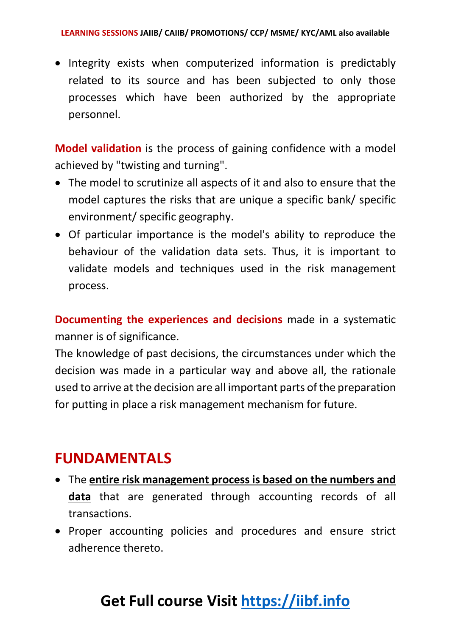• Integrity exists when computerized information is predictably related to its source and has been subjected to only those processes which have been authorized by the appropriate personnel.

**Model validation** is the process of gaining confidence with a model achieved by "twisting and turning".

- The model to scrutinize all aspects of it and also to ensure that the model captures the risks that are unique a specific bank/ specific environment/ specific geography.
- Of particular importance is the model's ability to reproduce the behaviour of the validation data sets. Thus, it is important to validate models and techniques used in the risk management process.

**Documenting the experiences and decisions** made in a systematic manner is of significance.

The knowledge of past decisions, the circumstances under which the decision was made in a particular way and above all, the rationale used to arrive at the decision are all important parts of the preparation for putting in place a risk management mechanism for future.

## **FUNDAMENTALS**

- The **entire risk management process is based on the numbers and data** that are generated through accounting records of all transactions.
- Proper accounting policies and procedures and ensure strict adherence thereto.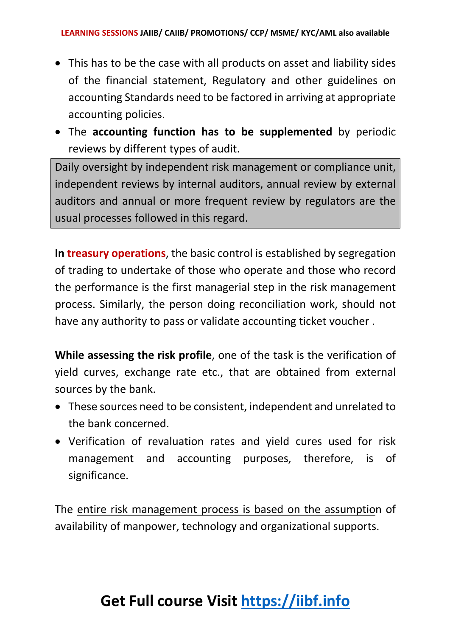- This has to be the case with all products on asset and liability sides of the financial statement, Regulatory and other guidelines on accounting Standards need to be factored in arriving at appropriate accounting policies.
- The **accounting function has to be supplemented** by periodic reviews by different types of audit.

Daily oversight by independent risk management or compliance unit, independent reviews by internal auditors, annual review by external auditors and annual or more frequent review by regulators are the usual processes followed in this regard.

**In treasury operations**, the basic control is established by segregation of trading to undertake of those who operate and those who record the performance is the first managerial step in the risk management process. Similarly, the person doing reconciliation work, should not have any authority to pass or validate accounting ticket voucher .

**While assessing the risk profile**, one of the task is the verification of yield curves, exchange rate etc., that are obtained from external sources by the bank.

- These sources need to be consistent, independent and unrelated to the bank concerned.
- Verification of revaluation rates and yield cures used for risk management and accounting purposes, therefore, is of significance.

The entire risk management process is based on the assumption of availability of manpower, technology and organizational supports.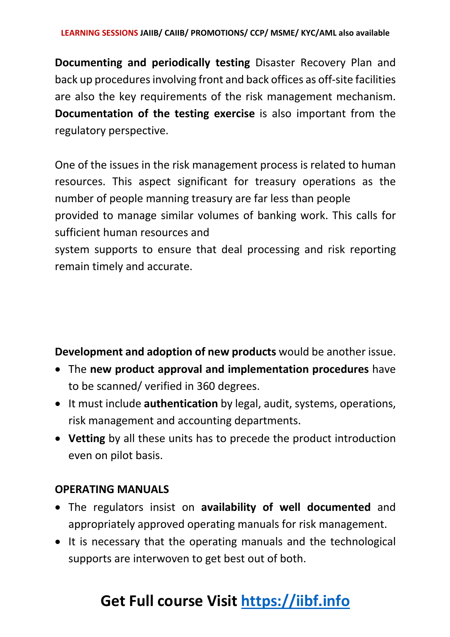**Documenting and periodically testing** Disaster Recovery Plan and back up procedures involving front and back offices as off-site facilities are also the key requirements of the risk management mechanism. **Documentation of the testing exercise** is also important from the regulatory perspective.

One of the issues in the risk management process is related to human resources. This aspect significant for treasury operations as the number of people manning treasury are far less than people provided to manage similar volumes of banking work. This calls for sufficient human resources and

system supports to ensure that deal processing and risk reporting remain timely and accurate.

**Development and adoption of new products** would be another issue.

- The **new product approval and implementation procedures** have to be scanned/ verified in 360 degrees.
- It must include **authentication** by legal, audit, systems, operations, risk management and accounting departments.
- **Vetting** by all these units has to precede the product introduction even on pilot basis.

#### **OPERATING MANUALS**

- The regulators insist on **availability of well documented** and appropriately approved operating manuals for risk management.
- It is necessary that the operating manuals and the technological supports are interwoven to get best out of both.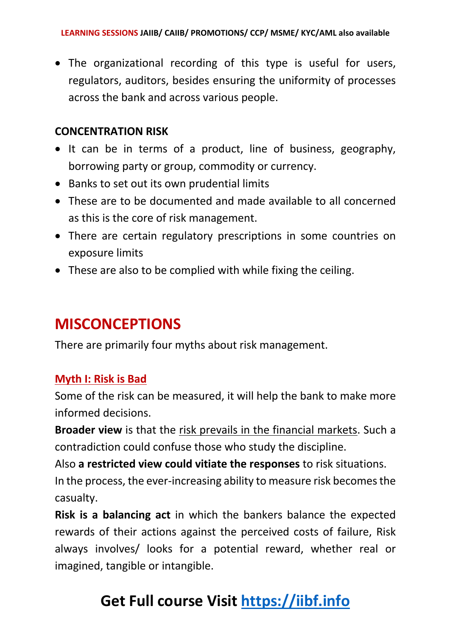• The organizational recording of this type is useful for users, regulators, auditors, besides ensuring the uniformity of processes across the bank and across various people.

#### **CONCENTRATION RISK**

- It can be in terms of a product, line of business, geography, borrowing party or group, commodity or currency.
- Banks to set out its own prudential limits
- These are to be documented and made available to all concerned as this is the core of risk management.
- There are certain regulatory prescriptions in some countries on exposure limits
- These are also to be complied with while fixing the ceiling.

## **MISCONCEPTIONS**

There are primarily four myths about risk management.

#### **Myth I: Risk is Bad**

Some of the risk can be measured, it will help the bank to make more informed decisions.

**Broader view** is that the risk prevails in the financial markets. Such a contradiction could confuse those who study the discipline.

Also **a restricted view could vitiate the responses** to risk situations. In the process, the ever-increasing ability to measure risk becomes the casualty.

**Risk is a balancing act** in which the bankers balance the expected rewards of their actions against the perceived costs of failure, Risk always involves/ looks for a potential reward, whether real or imagined, tangible or intangible.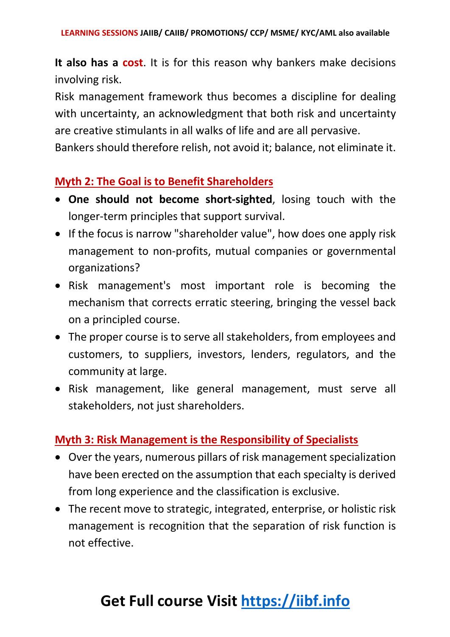**It also has a cost**. It is for this reason why bankers make decisions involving risk.

Risk management framework thus becomes a discipline for dealing with uncertainty, an acknowledgment that both risk and uncertainty are creative stimulants in all walks of life and are all pervasive.

Bankers should therefore relish, not avoid it; balance, not eliminate it.

#### **Myth 2: The Goal is to Benefit Shareholders**

- **One should not become short-sighted**, losing touch with the longer-term principles that support survival.
- If the focus is narrow "shareholder value", how does one apply risk management to non-profits, mutual companies or governmental organizations?
- Risk management's most important role is becoming the mechanism that corrects erratic steering, bringing the vessel back on a principled course.
- The proper course is to serve all stakeholders, from employees and customers, to suppliers, investors, lenders, regulators, and the community at large.
- Risk management, like general management, must serve all stakeholders, not just shareholders.

#### **Myth 3: Risk Management is the Responsibility of Specialists**

- Over the years, numerous pillars of risk management specialization have been erected on the assumption that each specialty is derived from long experience and the classification is exclusive.
- The recent move to strategic, integrated, enterprise, or holistic risk management is recognition that the separation of risk function is not effective.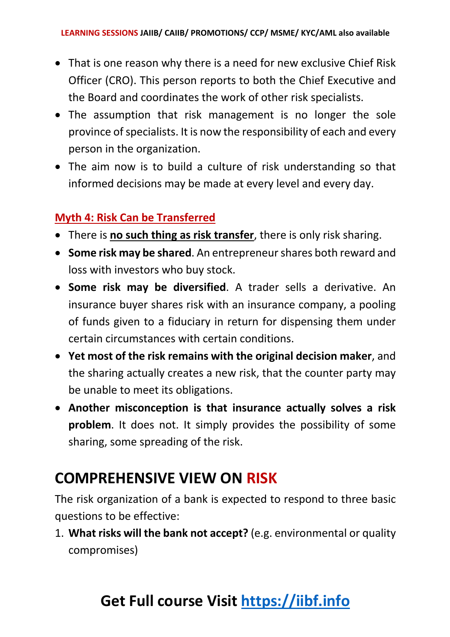- That is one reason why there is a need for new exclusive Chief Risk Officer (CRO). This person reports to both the Chief Executive and the Board and coordinates the work of other risk specialists.
- The assumption that risk management is no longer the sole province ofspecialists. It is now the responsibility of each and every person in the organization.
- The aim now is to build a culture of risk understanding so that informed decisions may be made at every level and every day.

#### **Myth 4: Risk Can be Transferred**

- There is **no such thing as risk transfer**, there is only risk sharing.
- **Some risk may be shared**. An entrepreneur shares both reward and loss with investors who buy stock.
- **Some risk may be diversified**. A trader sells a derivative. An insurance buyer shares risk with an insurance company, a pooling of funds given to a fiduciary in return for dispensing them under certain circumstances with certain conditions.
- **Yet most of the risk remains with the original decision maker**, and the sharing actually creates a new risk, that the counter party may be unable to meet its obligations.
- **Another misconception is that insurance actually solves a risk problem**. It does not. It simply provides the possibility of some sharing, some spreading of the risk.

## **COMPREHENSIVE VIEW ON RISK**

The risk organization of a bank is expected to respond to three basic questions to be effective:

1. **What risks will the bank not accept?** (e.g. environmental or quality compromises)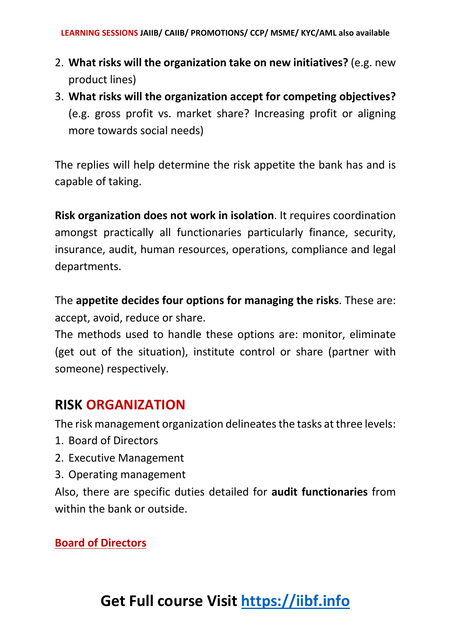- 2. **What risks will the organization take on new initiatives?** (e.g. new product lines)
- 3. **What risks will the organization accept for competing objectives?** (e.g. gross profit vs. market share? Increasing profit or aligning more towards social needs)

The replies will help determine the risk appetite the bank has and is capable of taking.

**Risk organization does not work in isolation**. It requires coordination amongst practically all functionaries particularly finance, security, insurance, audit, human resources, operations, compliance and legal departments.

The **appetite decides four options for managing the risks**. These are: accept, avoid, reduce or share.

The methods used to handle these options are: monitor, eliminate (get out of the situation), institute control or share (partner with someone) respectively.

#### **RISK ORGANIZATION**

The risk management organization delineates the tasks at three levels:

- 1. Board of Directors
- 2. Executive Management
- 3. Operating management

Also, there are specific duties detailed for **audit functionaries** from within the bank or outside.

#### **Board of Directors**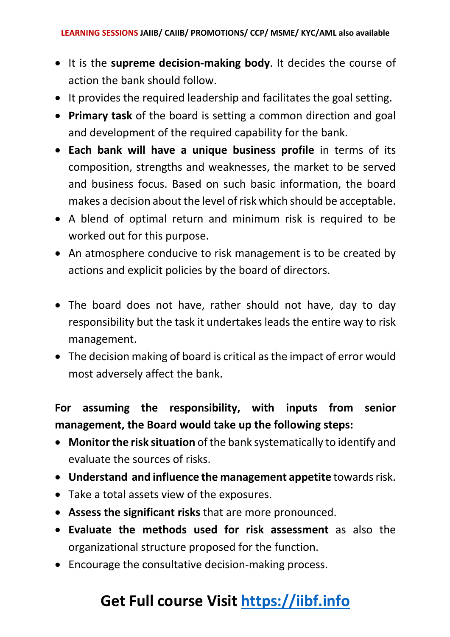- It is the **supreme decision-making body**. It decides the course of action the bank should follow.
- It provides the required leadership and facilitates the goal setting.
- **Primary task** of the board is setting a common direction and goal and development of the required capability for the bank.
- **Each bank will have a unique business profile** in terms of its composition, strengths and weaknesses, the market to be served and business focus. Based on such basic information, the board makes a decision about the level of risk which should be acceptable.
- A blend of optimal return and minimum risk is required to be worked out for this purpose.
- An atmosphere conducive to risk management is to be created by actions and explicit policies by the board of directors.
- The board does not have, rather should not have, day to day responsibility but the task it undertakes leads the entire way to risk management.
- The decision making of board is critical as the impact of error would most adversely affect the bank.

#### **For assuming the responsibility, with inputs from senior management, the Board would take up the following steps:**

- **Monitor the risk situation** of the bank systematically to identify and evaluate the sources of risks.
- **Understand and influence the management appetite** towards risk.
- Take a total assets view of the exposures.
- **Assess the significant risks** that are more pronounced.
- **Evaluate the methods used for risk assessment** as also the organizational structure proposed for the function.
- Encourage the consultative decision-making process.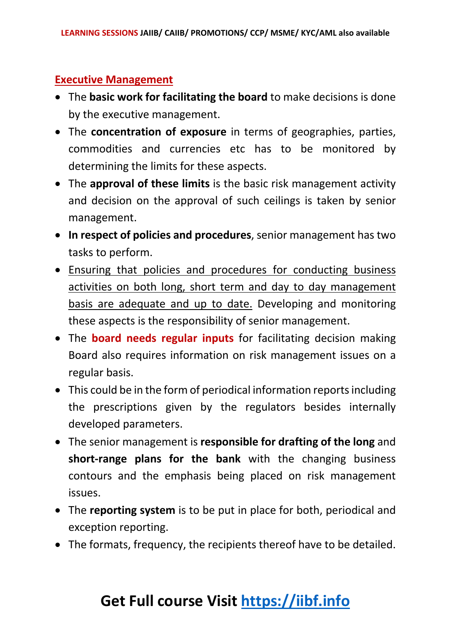#### **Executive Management**

- The **basic work for facilitating the board** to make decisions is done by the executive management.
- The **concentration of exposure** in terms of geographies, parties, commodities and currencies etc has to be monitored by determining the limits for these aspects.
- The **approval of these limits** is the basic risk management activity and decision on the approval of such ceilings is taken by senior management.
- **In respect of policies and procedures**, senior management has two tasks to perform.
- Ensuring that policies and procedures for conducting business activities on both long, short term and day to day management basis are adequate and up to date. Developing and monitoring these aspects is the responsibility of senior management.
- The **board needs regular inputs** for facilitating decision making Board also requires information on risk management issues on a regular basis.
- This could be in the form of periodical information reports including the prescriptions given by the regulators besides internally developed parameters.
- The senior management is **responsible for drafting of the long** and **short-range plans for the bank** with the changing business contours and the emphasis being placed on risk management issues.
- The **reporting system** is to be put in place for both, periodical and exception reporting.
- The formats, frequency, the recipients thereof have to be detailed.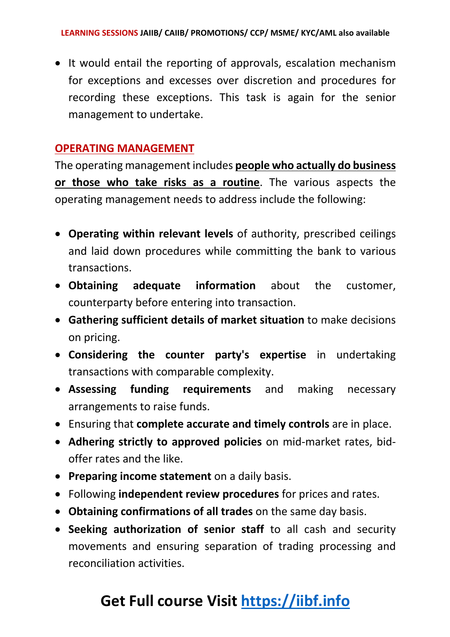• It would entail the reporting of approvals, escalation mechanism for exceptions and excesses over discretion and procedures for recording these exceptions. This task is again for the senior management to undertake.

#### **OPERATING MANAGEMENT**

The operating management includes **people who actually do business or those who take risks as a routine**. The various aspects the operating management needs to address include the following:

- **Operating within relevant levels** of authority, prescribed ceilings and laid down procedures while committing the bank to various transactions.
- **Obtaining adequate information** about the customer, counterparty before entering into transaction.
- **Gathering sufficient details of market situation** to make decisions on pricing.
- **Considering the counter party's expertise** in undertaking transactions with comparable complexity.
- **Assessing funding requirements** and making necessary arrangements to raise funds.
- Ensuring that **complete accurate and timely controls** are in place.
- **Adhering strictly to approved policies** on mid-market rates, bidoffer rates and the like.
- **Preparing income statement** on a daily basis.
- Following **independent review procedures** for prices and rates.
- **Obtaining confirmations of all trades** on the same day basis.
- **Seeking authorization of senior staff** to all cash and security movements and ensuring separation of trading processing and reconciliation activities.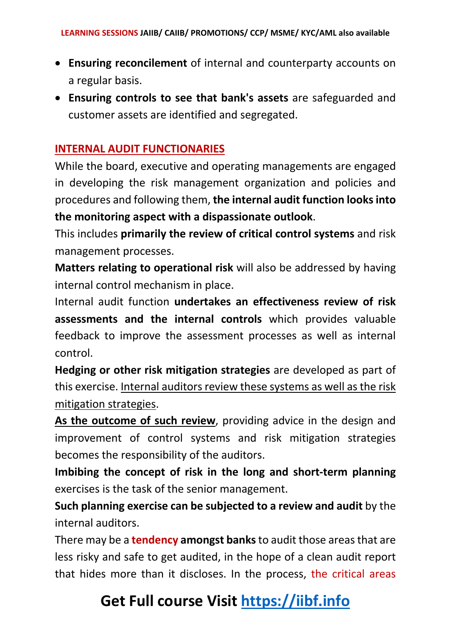- **Ensuring reconcilement** of internal and counterparty accounts on a regular basis.
- **Ensuring controls to see that bank's assets** are safeguarded and customer assets are identified and segregated.

#### **INTERNAL AUDIT FUNCTIONARIES**

While the board, executive and operating managements are engaged in developing the risk management organization and policies and procedures and following them, **the internal audit function looks into the monitoring aspect with a dispassionate outlook**.

This includes **primarily the review of critical control systems** and risk management processes.

**Matters relating to operational risk** will also be addressed by having internal control mechanism in place.

Internal audit function **undertakes an effectiveness review of risk assessments and the internal controls** which provides valuable feedback to improve the assessment processes as well as internal control.

**Hedging or other risk mitigation strategies** are developed as part of this exercise. Internal auditors review these systems as well as the risk mitigation strategies.

**As the outcome of such review**, providing advice in the design and improvement of control systems and risk mitigation strategies becomes the responsibility of the auditors.

**Imbibing the concept of risk in the long and short-term planning** exercises is the task of the senior management.

**Such planning exercise can be subjected to a review and audit** by the internal auditors.

There may be a **tendency amongst banks**to audit those areas that are less risky and safe to get audited, in the hope of a clean audit report that hides more than it discloses. In the process, the critical areas